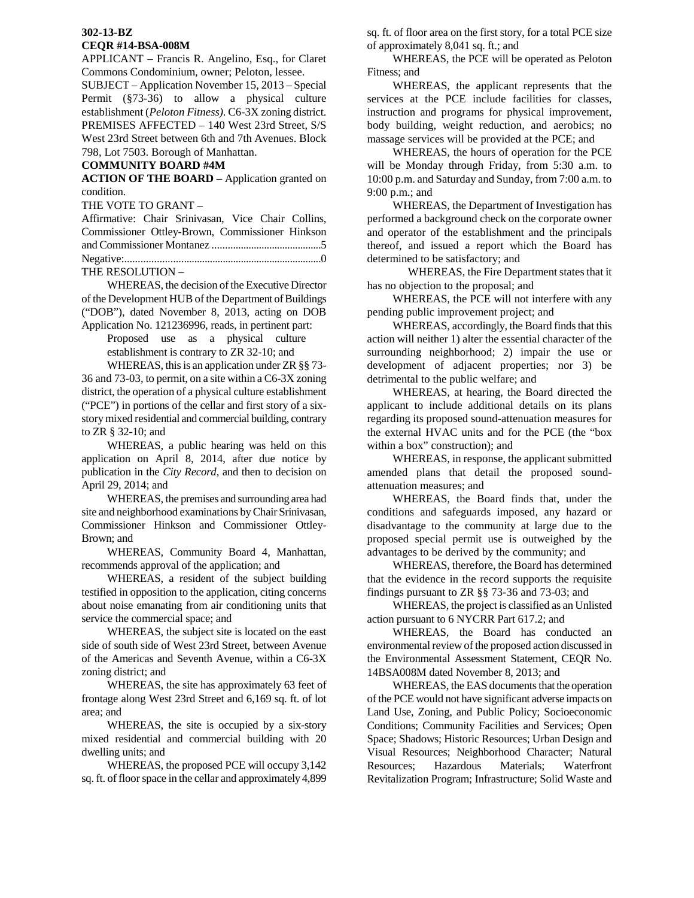## **302-13-BZ CEQR #14-BSA-008M**

APPLICANT – Francis R. Angelino, Esq., for Claret Commons Condominium, owner; Peloton, lessee.

SUBJECT – Application November 15, 2013 – Special Permit (§73-36) to allow a physical culture establishment (*Peloton Fitness)*. C6-3X zoning district. PREMISES AFFECTED – 140 West 23rd Street, S/S West 23rd Street between 6th and 7th Avenues. Block 798, Lot 7503. Borough of Manhattan.

## **COMMUNITY BOARD #4M**

**ACTION OF THE BOARD –** Application granted on condition.

THE VOTE TO GRANT –

| Affirmative: Chair Srinivasan, Vice Chair Collins, |  |  |  |  |  |
|----------------------------------------------------|--|--|--|--|--|
| Commissioner Ottley-Brown, Commissioner Hinkson    |  |  |  |  |  |
|                                                    |  |  |  |  |  |
|                                                    |  |  |  |  |  |
| THE BESOLUTION                                     |  |  |  |  |  |

THE RESOLUTION –

 WHEREAS, the decision of the Executive Director of the Development HUB of the Department of Buildings ("DOB"), dated November 8, 2013, acting on DOB Application No. 121236996, reads, in pertinent part:

> Proposed use as a physical culture establishment is contrary to ZR 32-10; and

 WHEREAS, this is an application under ZR §§ 73- 36 and 73-03, to permit, on a site within a C6-3X zoning district, the operation of a physical culture establishment ("PCE") in portions of the cellar and first story of a sixstory mixed residential and commercial building, contrary to ZR § 32-10; and

 WHEREAS, a public hearing was held on this application on April 8, 2014, after due notice by publication in the *City Record*, and then to decision on April 29, 2014; and

 WHEREAS, the premises and surrounding area had site and neighborhood examinations by Chair Srinivasan, Commissioner Hinkson and Commissioner Ottley-Brown; and

 WHEREAS, Community Board 4, Manhattan, recommends approval of the application; and

 WHEREAS, a resident of the subject building testified in opposition to the application, citing concerns about noise emanating from air conditioning units that service the commercial space; and

 WHEREAS, the subject site is located on the east side of south side of West 23rd Street, between Avenue of the Americas and Seventh Avenue, within a C6-3X zoning district; and

 WHEREAS, the site has approximately 63 feet of frontage along West 23rd Street and 6,169 sq. ft. of lot area; and

 WHEREAS, the site is occupied by a six-story mixed residential and commercial building with 20 dwelling units; and

WHEREAS, the proposed PCE will occupy 3,142 sq. ft. of floor space in the cellar and approximately 4,899

sq. ft. of floor area on the first story, for a total PCE size of approximately 8,041 sq. ft.; and

WHEREAS, the PCE will be operated as Peloton Fitness; and

WHEREAS, the applicant represents that the services at the PCE include facilities for classes, instruction and programs for physical improvement, body building, weight reduction, and aerobics; no massage services will be provided at the PCE; and

WHEREAS, the hours of operation for the PCE will be Monday through Friday, from 5:30 a.m. to 10:00 p.m. and Saturday and Sunday, from 7:00 a.m. to 9:00 p.m.; and

WHEREAS, the Department of Investigation has performed a background check on the corporate owner and operator of the establishment and the principals thereof, and issued a report which the Board has determined to be satisfactory; and

 WHEREAS, the Fire Department states that it has no objection to the proposal; and

WHEREAS, the PCE will not interfere with any pending public improvement project; and

WHEREAS, accordingly, the Board finds that this action will neither 1) alter the essential character of the surrounding neighborhood; 2) impair the use or development of adjacent properties; nor 3) be detrimental to the public welfare; and

WHEREAS, at hearing, the Board directed the applicant to include additional details on its plans regarding its proposed sound-attenuation measures for the external HVAC units and for the PCE (the "box within a box" construction); and

WHEREAS, in response, the applicant submitted amended plans that detail the proposed soundattenuation measures; and

WHEREAS, the Board finds that, under the conditions and safeguards imposed, any hazard or disadvantage to the community at large due to the proposed special permit use is outweighed by the advantages to be derived by the community; and

WHEREAS, therefore, the Board has determined that the evidence in the record supports the requisite findings pursuant to ZR §§ 73-36 and 73-03; and

WHEREAS, the project is classified as an Unlisted action pursuant to 6 NYCRR Part 617.2; and

WHEREAS, the Board has conducted an environmental review of the proposed action discussed in the Environmental Assessment Statement, CEQR No. 14BSA008M dated November 8, 2013; and

WHEREAS, the EAS documents that the operation of the PCE would not have significant adverse impacts on Land Use, Zoning, and Public Policy; Socioeconomic Conditions; Community Facilities and Services; Open Space; Shadows; Historic Resources; Urban Design and Visual Resources; Neighborhood Character; Natural Resources; Hazardous Materials; Waterfront Revitalization Program; Infrastructure; Solid Waste and